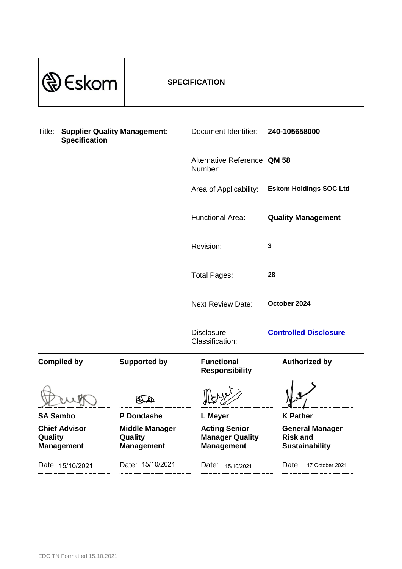| Eskom                                                                 | <b>SPECIFICATION</b>                                  |                                                                     |                                                                    |
|-----------------------------------------------------------------------|-------------------------------------------------------|---------------------------------------------------------------------|--------------------------------------------------------------------|
| <b>Supplier Quality Management:</b><br>Title:<br><b>Specification</b> |                                                       | Document Identifier:                                                | 240-105658000                                                      |
|                                                                       |                                                       | Alternative Reference QM 58<br>Number:                              |                                                                    |
|                                                                       |                                                       | Area of Applicability:                                              | <b>Eskom Holdings SOC Ltd</b>                                      |
|                                                                       |                                                       | <b>Functional Area:</b>                                             | <b>Quality Management</b>                                          |
|                                                                       |                                                       | Revision:                                                           | 3                                                                  |
|                                                                       |                                                       | <b>Total Pages:</b>                                                 | 28                                                                 |
|                                                                       |                                                       | <b>Next Review Date:</b>                                            | October 2024                                                       |
|                                                                       |                                                       | <b>Disclosure</b><br>Classification:                                | <b>Controlled Disclosure</b>                                       |
| <b>Compiled by</b>                                                    | <b>Supported by</b>                                   | <b>Functional</b><br><b>Responsibility</b>                          | <b>Authorized by</b>                                               |
|                                                                       |                                                       |                                                                     |                                                                    |
| <b>SA Sambo</b>                                                       | P Dondashe                                            | L Meyer                                                             | <b>K</b> Pather                                                    |
| <b>Chief Advisor</b><br>Quality<br><b>Management</b>                  | <b>Middle Manager</b><br>Quality<br><b>Management</b> | <b>Acting Senior</b><br><b>Manager Quality</b><br><b>Management</b> | <b>General Manager</b><br><b>Risk and</b><br><b>Sustainability</b> |
| Date: 15/10/2021                                                      | Date: 15/10/2021                                      | Date:<br>15/10/2021<br>                                             | Date:<br>17 October 2021<br>                                       |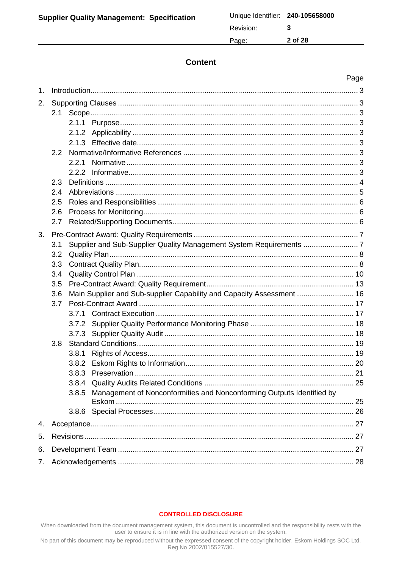## **Content**

|    |     |       |                                                                       | Page |
|----|-----|-------|-----------------------------------------------------------------------|------|
| 1. |     |       |                                                                       |      |
| 2. |     |       |                                                                       |      |
|    | 2.1 |       |                                                                       |      |
|    |     |       |                                                                       |      |
|    |     |       |                                                                       |      |
|    |     |       |                                                                       |      |
|    | 2.2 |       |                                                                       |      |
|    |     | 2.2.1 |                                                                       |      |
|    |     |       |                                                                       |      |
|    | 2.3 |       |                                                                       |      |
|    | 2.4 |       |                                                                       |      |
|    | 2.5 |       |                                                                       |      |
|    | 2.6 |       |                                                                       |      |
|    | 2.7 |       |                                                                       |      |
| 3. |     |       |                                                                       |      |
|    | 3.1 |       | Supplier and Sub-Supplier Quality Management System Requirements 7    |      |
|    | 3.2 |       |                                                                       |      |
|    | 3.3 |       |                                                                       |      |
|    | 3.4 |       |                                                                       |      |
|    | 3.5 |       |                                                                       |      |
|    | 3.6 |       | Main Supplier and Sub-supplier Capability and Capacity Assessment  16 |      |
|    | 3.7 |       |                                                                       |      |
|    |     | 3.7.1 |                                                                       |      |
|    |     |       |                                                                       |      |
|    |     | 3.7.3 |                                                                       |      |
|    | 3.8 |       |                                                                       |      |
|    |     | 3.8.1 |                                                                       |      |
|    |     |       |                                                                       |      |
|    |     |       |                                                                       |      |
|    |     |       |                                                                       |      |
|    |     | 3.8.5 | Management of Nonconformities and Nonconforming Outputs Identified by |      |
|    |     | 3.8.6 |                                                                       | 25   |
|    |     |       |                                                                       |      |
| 4. |     |       |                                                                       |      |
| 5. |     |       |                                                                       |      |
| 6. |     |       |                                                                       |      |
| 7. |     |       |                                                                       |      |

#### **CONTROLLED DISCLOSURE**

When downloaded from the document management system, this document is uncontrolled and the responsibility rests with the user to ensure it is in line with the authorized version on the system.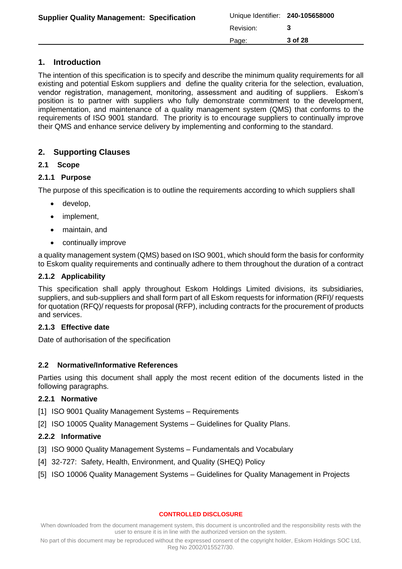| <b>Supplier Quality Management: Specification</b> | Unique Identifier: 240-105658000 |         |
|---------------------------------------------------|----------------------------------|---------|
|                                                   | Revision:                        |         |
|                                                   | Page:                            | 3 of 28 |

# <span id="page-2-0"></span>**1. Introduction**

The intention of this specification is to specify and describe the minimum quality requirements for all existing and potential Eskom suppliers and define the quality criteria for the selection, evaluation, vendor registration, management, monitoring, assessment and auditing of suppliers. Eskom's position is to partner with suppliers who fully demonstrate commitment to the development, implementation, and maintenance of a quality management system (QMS) that conforms to the requirements of ISO 9001 standard. The priority is to encourage suppliers to continually improve their QMS and enhance service delivery by implementing and conforming to the standard.

# <span id="page-2-1"></span>**2. Supporting Clauses**

## <span id="page-2-2"></span>**2.1 Scope**

# <span id="page-2-3"></span>**2.1.1 Purpose**

The purpose of this specification is to outline the requirements according to which suppliers shall

- develop,
- implement,
- maintain, and
- continually improve

a quality management system (QMS) based on ISO 9001, which should form the basis for conformity to Eskom quality requirements and continually adhere to them throughout the duration of a contract

## <span id="page-2-4"></span>**2.1.2 Applicability**

This specification shall apply throughout Eskom Holdings Limited divisions, its subsidiaries, suppliers, and sub-suppliers and shall form part of all Eskom requests for information (RFI)/ requests for quotation (RFQ)/ requests for proposal (RFP), including contracts for the procurement of products and services.

## <span id="page-2-5"></span>**2.1.3 Effective date**

Date of authorisation of the specification

## <span id="page-2-6"></span>**2.2 Normative/Informative References**

Parties using this document shall apply the most recent edition of the documents listed in the following paragraphs.

## <span id="page-2-7"></span>**2.2.1 Normative**

- [1] ISO 9001 Quality Management Systems Requirements
- [2] ISO 10005 Quality Management Systems Guidelines for Quality Plans.

## <span id="page-2-8"></span>**2.2.2 Informative**

- [3] ISO 9000 Quality Management Systems Fundamentals and Vocabulary
- [4] 32-727: Safety, Health, Environment, and Quality (SHEQ) Policy
- [5] ISO 10006 Quality Management Systems Guidelines for Quality Management in Projects

#### **CONTROLLED DISCLOSURE**

When downloaded from the document management system, this document is uncontrolled and the responsibility rests with the user to ensure it is in line with the authorized version on the system.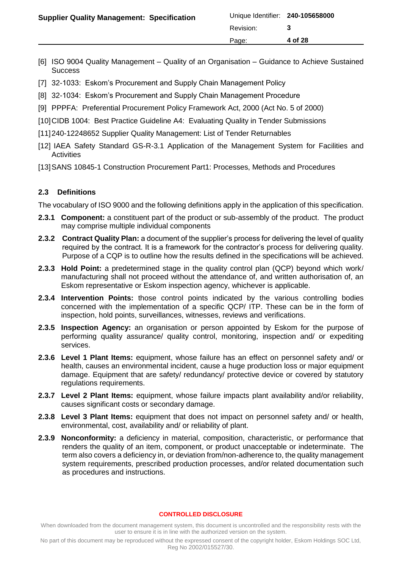| <b>Supplier Quality Management: Specification</b> | Unique Identifier: 240-105658000 |         |
|---------------------------------------------------|----------------------------------|---------|
|                                                   | Revision:                        |         |
|                                                   | Page:                            | 4 of 28 |
|                                                   |                                  |         |

- [6] ISO 9004 Quality Management Quality of an Organisation Guidance to Achieve Sustained **Success**
- [7] 32-1033: Eskom's Procurement and Supply Chain Management Policy
- [8] 32-1034: Eskom's Procurement and Supply Chain Management Procedure
- [9] PPPFA: Preferential Procurement Policy Framework Act, 2000 (Act No. 5 of 2000)
- [10] CIDB 1004: Best Practice Guideline A4: Evaluating Quality in Tender Submissions
- [11]240-12248652 Supplier Quality Management: List of Tender Returnables
- [12] IAEA Safety Standard GS-R-3.1 Application of the Management System for Facilities and **Activities**
- [13] SANS 10845-1 Construction Procurement Part1: Processes, Methods and Procedures

### <span id="page-3-0"></span>**2.3 Definitions**

The vocabulary of ISO 9000 and the following definitions apply in the application of this specification.

- **2.3.1 Component:** a constituent part of the product or sub-assembly of the product. The product may comprise multiple individual components
- **2.3.2 Contract Quality Plan:** a document of the supplier's process for delivering the level of quality required by the contract. It is a framework for the contractor's process for delivering quality. Purpose of a CQP is to outline how the results defined in the specifications will be achieved.
- **2.3.3 Hold Point:** a predetermined stage in the quality control plan (QCP) beyond which work/ manufacturing shall not proceed without the attendance of, and written authorisation of, an Eskom representative or Eskom inspection agency, whichever is applicable.
- **2.3.4 Intervention Points:** those control points indicated by the various controlling bodies concerned with the implementation of a specific QCP/ ITP. These can be in the form of inspection, hold points, surveillances, witnesses, reviews and verifications.
- **2.3.5 Inspection Agency:** an organisation or person appointed by Eskom for the purpose of performing quality assurance/ quality control, monitoring, inspection and/ or expediting services.
- **2.3.6 Level 1 Plant Items:** equipment, whose failure has an effect on personnel safety and/ or health, causes an environmental incident, cause a huge production loss or major equipment damage. Equipment that are safety/ redundancy/ protective device or covered by statutory regulations requirements.
- **2.3.7 Level 2 Plant Items:** equipment, whose failure impacts plant availability and/or reliability, causes significant costs or secondary damage.
- **2.3.8 Level 3 Plant Items:** equipment that does not impact on personnel safety and/ or health, environmental, cost, availability and/ or reliability of plant.
- **2.3.9 Nonconformity:** a deficiency in material, composition, characteristic, or performance that renders the quality of an item, component, or product unacceptable or indeterminate. The term also covers a deficiency in, or deviation from/non-adherence to, the quality management system requirements, prescribed production processes, and/or related documentation such as procedures and instructions.

#### **CONTROLLED DISCLOSURE**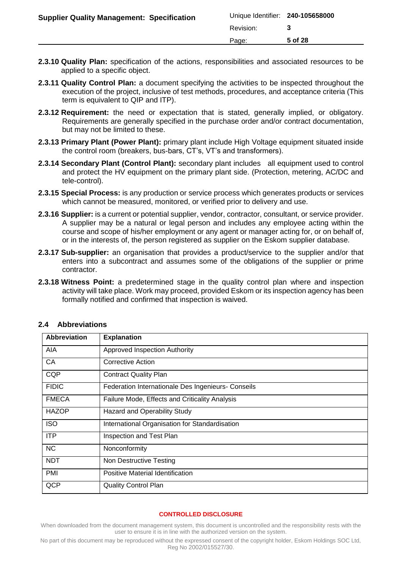| <b>Supplier Quality Management: Specification</b> | Unique Identifier: 240-105658000 |         |
|---------------------------------------------------|----------------------------------|---------|
|                                                   | Revision:                        |         |
|                                                   | Page:                            | 5 of 28 |
|                                                   |                                  |         |

- **2.3.10 Quality Plan:** specification of the actions, responsibilities and associated resources to be applied to a specific object.
- **2.3.11 Quality Control Plan:** a document specifying the activities to be inspected throughout the execution of the project, inclusive of test methods, procedures, and acceptance criteria (This term is equivalent to QIP and ITP).
- **2.3.12 Requirement:** the need or expectation that is stated, generally implied, or obligatory. Requirements are generally specified in the purchase order and/or contract documentation, but may not be limited to these.
- **2.3.13 Primary Plant (Power Plant):** primary plant include High Voltage equipment situated inside the control room (breakers, bus-bars, CT's, VT's and transformers).
- **2.3.14 Secondary Plant (Control Plant):** secondary plant includes all equipment used to control and protect the HV equipment on the primary plant side. (Protection, metering, AC/DC and tele-control).
- **2.3.15 Special Process:** is any production or service process which generates products or services which cannot be measured, monitored, or verified prior to delivery and use.
- **2.3.16 Supplier:** is a current or potential supplier, vendor, contractor, consultant, or service provider. A supplier may be a natural or legal person and includes any employee acting within the course and scope of his/her employment or any agent or manager acting for, or on behalf of, or in the interests of, the person registered as supplier on the Eskom supplier database.
- **2.3.17 Sub-supplier:** an organisation that provides a product/service to the supplier and/or that enters into a subcontract and assumes some of the obligations of the supplier or prime contractor.
- **2.3.18 Witness Point:** a predetermined stage in the quality control plan where and inspection activity will take place. Work may proceed, provided Eskom or its inspection agency has been formally notified and confirmed that inspection is waived.

| Abbreviation | <b>Explanation</b>                                 |
|--------------|----------------------------------------------------|
| <b>AIA</b>   | Approved Inspection Authority                      |
| CA           | Corrective Action                                  |
| <b>CQP</b>   | <b>Contract Quality Plan</b>                       |
| <b>FIDIC</b> | Federation Internationale Des Ingenieurs- Conseils |
| <b>FMECA</b> | Failure Mode, Effects and Criticality Analysis     |
| <b>HAZOP</b> | <b>Hazard and Operability Study</b>                |
| <b>ISO</b>   | International Organisation for Standardisation     |
| <b>ITP</b>   | Inspection and Test Plan                           |
| <b>NC</b>    | Nonconformity                                      |
| <b>NDT</b>   | Non Destructive Testing                            |
| <b>PMI</b>   | Positive Material Identification                   |
| QCP          | <b>Quality Control Plan</b>                        |

### <span id="page-4-0"></span>**2.4 Abbreviations**

#### **CONTROLLED DISCLOSURE**

When downloaded from the document management system, this document is uncontrolled and the responsibility rests with the user to ensure it is in line with the authorized version on the system.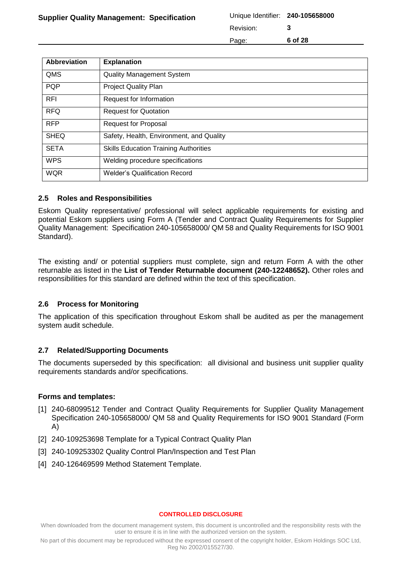Revision: **3**

Page: **6 of 28**

**Abbreviation Explanation** QMS **Quality Management System** PQP Project Quality Plan RFI Request for Information RFQ Request for Quotation RFP Request for Proposal SHEQ | Safety, Health, Environment, and Quality SETA Skills Education Training Authorities WPS Welding procedure specifications WQR Welder's Qualification Record

### <span id="page-5-0"></span>**2.5 Roles and Responsibilities**

Eskom Quality representative/ professional will select applicable requirements for existing and potential Eskom suppliers using Form A (Tender and Contract Quality Requirements for Supplier Quality Management: Specification 240-105658000/ QM 58 and Quality Requirements for ISO 9001 Standard).

The existing and/ or potential suppliers must complete, sign and return Form A with the other returnable as listed in the **List of Tender Returnable document (240-12248652).** Other roles and responsibilities for this standard are defined within the text of this specification.

### <span id="page-5-1"></span>**2.6 Process for Monitoring**

The application of this specification throughout Eskom shall be audited as per the management system audit schedule.

### <span id="page-5-2"></span>**2.7 Related/Supporting Documents**

The documents superseded by this specification: all divisional and business unit supplier quality requirements standards and/or specifications.

### **Forms and templates:**

- [1] 240-68099512 Tender and Contract Quality Requirements for Supplier Quality Management Specification 240-105658000/ QM 58 and Quality Requirements for ISO 9001 Standard (Form A)
- [2] 240-109253698 Template for a Typical Contract Quality Plan
- [3] 240-109253302 Quality Control Plan/Inspection and Test Plan
- [4] 240-126469599 Method Statement Template.

#### **CONTROLLED DISCLOSURE**

When downloaded from the document management system, this document is uncontrolled and the responsibility rests with the user to ensure it is in line with the authorized version on the system.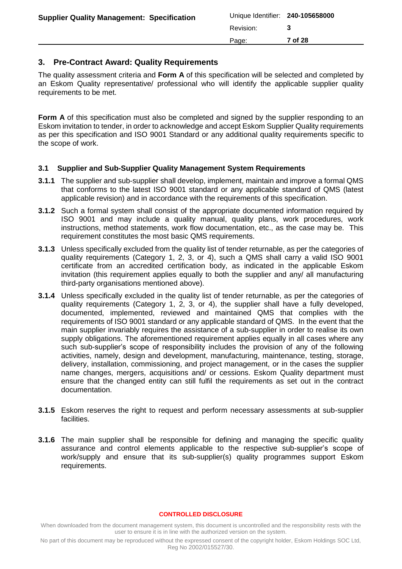| <b>Supplier Quality Management: Specification</b> | Unique Identifier: 240-105658000<br>Revision: |         |
|---------------------------------------------------|-----------------------------------------------|---------|
|                                                   | Page:                                         | 7 of 28 |

## <span id="page-6-0"></span>**3. Pre-Contract Award: Quality Requirements**

The quality assessment criteria and **Form A** of this specification will be selected and completed by an Eskom Quality representative/ professional who will identify the applicable supplier quality requirements to be met.

**Form A** of this specification must also be completed and signed by the supplier responding to an Eskom invitation to tender, in order to acknowledge and accept Eskom Supplier Quality requirements as per this specification and ISO 9001 Standard or any additional quality requirements specific to the scope of work.

### <span id="page-6-1"></span>**3.1 Supplier and Sub-Supplier Quality Management System Requirements**

- **3.1.1** The supplier and sub-supplier shall develop, implement, maintain and improve a formal QMS that conforms to the latest ISO 9001 standard or any applicable standard of QMS (latest applicable revision) and in accordance with the requirements of this specification.
- **3.1.2** Such a formal system shall consist of the appropriate documented information required by ISO 9001 and may include a quality manual, quality plans, work procedures, work instructions, method statements, work flow documentation, etc., as the case may be. This requirement constitutes the most basic QMS requirements.
- **3.1.3** Unless specifically excluded from the quality list of tender returnable, as per the categories of quality requirements (Category 1, 2, 3, or 4), such a QMS shall carry a valid ISO 9001 certificate from an accredited certification body, as indicated in the applicable Eskom invitation (this requirement applies equally to both the supplier and any/ all manufacturing third-party organisations mentioned above).
- **3.1.4** Unless specifically excluded in the quality list of tender returnable, as per the categories of quality requirements (Category 1, 2, 3, or 4), the supplier shall have a fully developed, documented, implemented, reviewed and maintained QMS that complies with the requirements of ISO 9001 standard or any applicable standard of QMS. In the event that the main supplier invariably requires the assistance of a sub-supplier in order to realise its own supply obligations. The aforementioned requirement applies equally in all cases where any such sub-supplier's scope of responsibility includes the provision of any of the following activities, namely, design and development, manufacturing, maintenance, testing, storage, delivery, installation, commissioning, and project management, or in the cases the supplier name changes, mergers, acquisitions and/ or cessions. Eskom Quality department must ensure that the changed entity can still fulfil the requirements as set out in the contract documentation.
- **3.1.5** Eskom reserves the right to request and perform necessary assessments at sub-supplier facilities.
- **3.1.6** The main supplier shall be responsible for defining and managing the specific quality assurance and control elements applicable to the respective sub-supplier's scope of work/supply and ensure that its sub-supplier(s) quality programmes support Eskom requirements.

#### **CONTROLLED DISCLOSURE**

When downloaded from the document management system, this document is uncontrolled and the responsibility rests with the user to ensure it is in line with the authorized version on the system.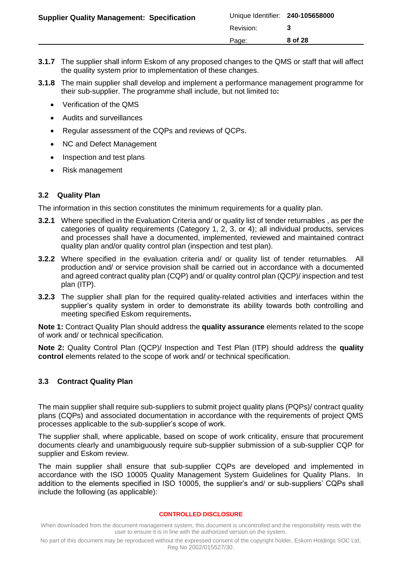| <b>Supplier Quality Management: Specification</b> | Unique Identifier: 240-105658000 |         |
|---------------------------------------------------|----------------------------------|---------|
|                                                   | Revision:                        |         |
|                                                   | Page:                            | 8 of 28 |
|                                                   |                                  |         |

- **3.1.7** The supplier shall inform Eskom of any proposed changes to the QMS or staff that will affect the quality system prior to implementation of these changes.
- **3.1.8** The main supplier shall develop and implement a performance management programme for their sub-supplier. The programme shall include, but not limited to**:**
	- Verification of the QMS
	- Audits and surveillances
	- Regular assessment of the CQPs and reviews of QCPs.
	- NC and Defect Management
	- Inspection and test plans
	- Risk management

### <span id="page-7-0"></span>**3.2 Quality Plan**

The information in this section constitutes the minimum requirements for a quality plan.

- **3.2.1** Where specified in the Evaluation Criteria and/ or quality list of tender returnables , as per the categories of quality requirements (Category 1, 2, 3, or 4); all individual products, services and processes shall have a documented, implemented, reviewed and maintained contract quality plan and/or quality control plan (inspection and test plan).
- **3.2.2** Where specified in the evaluation criteria and/ or quality list of tender returnables. All production and/ or service provision shall be carried out in accordance with a documented and agreed contract quality plan (CQP) and/ or quality control plan (QCP)/ inspection and test plan (ITP).
- **3.2.3** The supplier shall plan for the required quality-related activities and interfaces within the supplier's quality system in order to demonstrate its ability towards both controlling and meeting specified Eskom requirements**.**

**Note 1:** Contract Quality Plan should address the **quality assurance** elements related to the scope of work and/ or technical specification.

**Note 2:** Quality Control Plan (QCP)/ Inspection and Test Plan (ITP) should address the **quality control** elements related to the scope of work and/ or technical specification.

## <span id="page-7-1"></span>**3.3 Contract Quality Plan**

The main supplier shall require sub-suppliers to submit project quality plans (PQPs)/ contract quality plans (CQPs) and associated documentation in accordance with the requirements of project QMS processes applicable to the sub-supplier's scope of work.

The supplier shall, where applicable, based on scope of work criticality, ensure that procurement documents clearly and unambiguously require sub-supplier submission of a sub-supplier CQP for supplier and Eskom review.

The main supplier shall ensure that sub-supplier CQPs are developed and implemented in accordance with the ISO 10005 Quality Management System Guidelines for Quality Plans. In addition to the elements specified in ISO 10005, the supplier's and/ or sub-suppliers' CQPs shall include the following (as applicable):

#### **CONTROLLED DISCLOSURE**

When downloaded from the document management system, this document is uncontrolled and the responsibility rests with the user to ensure it is in line with the authorized version on the system.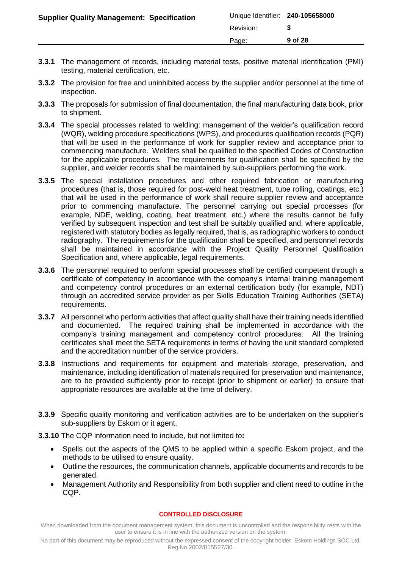| <b>Supplier Quality Management: Specification</b> | Unique Identifier: 240-105658000 |         |
|---------------------------------------------------|----------------------------------|---------|
|                                                   | Revision:                        |         |
|                                                   | Page:                            | 9 of 28 |
|                                                   |                                  |         |

- **3.3.1** The management of records, including material tests, positive material identification (PMI) testing, material certification, etc.
- **3.3.2** The provision for free and uninhibited access by the supplier and/or personnel at the time of inspection.
- **3.3.3** The proposals for submission of final documentation, the final manufacturing data book, prior to shipment.
- **3.3.4** The special processes related to welding: management of the welder's qualification record (WQR), welding procedure specifications (WPS), and procedures qualification records (PQR) that will be used in the performance of work for supplier review and acceptance prior to commencing manufacture. Welders shall be qualified to the specified Codes of Construction for the applicable procedures. The requirements for qualification shall be specified by the supplier, and welder records shall be maintained by sub-suppliers performing the work.
- **3.3.5** The special installation procedures and other required fabrication or manufacturing procedures (that is, those required for post-weld heat treatment, tube rolling, coatings, etc.) that will be used in the performance of work shall require supplier review and acceptance prior to commencing manufacture. The personnel carrying out special processes (for example, NDE, welding, coating, heat treatment, etc.) where the results cannot be fully verified by subsequent inspection and test shall be suitably qualified and, where applicable, registered with statutory bodies as legally required, that is, as radiographic workers to conduct radiography. The requirements for the qualification shall be specified, and personnel records shall be maintained in accordance with the Project Quality Personnel Qualification Specification and, where applicable, legal requirements.
- **3.3.6** The personnel required to perform special processes shall be certified competent through a certificate of competency in accordance with the company's internal training management and competency control procedures or an external certification body (for example, NDT) through an accredited service provider as per Skills Education Training Authorities (SETA) requirements.
- **3.3.7** All personnel who perform activities that affect quality shall have their training needs identified and documented. The required training shall be implemented in accordance with the company's training management and competency control procedures. All the training certificates shall meet the SETA requirements in terms of having the unit standard completed and the accreditation number of the service providers.
- **3.3.8** Instructions and requirements for equipment and materials storage, preservation, and maintenance, including identification of materials required for preservation and maintenance, are to be provided sufficiently prior to receipt (prior to shipment or earlier) to ensure that appropriate resources are available at the time of delivery.
- **3.3.9** Specific quality monitoring and verification activities are to be undertaken on the supplier's sub-suppliers by Eskom or it agent.
- **3.3.10** The CQP information need to include, but not limited to**:**
	- Spells out the aspects of the QMS to be applied within a specific Eskom project, and the methods to be utilised to ensure quality.
	- Outline the resources, the communication channels, applicable documents and records to be generated.
	- Management Authority and Responsibility from both supplier and client need to outline in the CQP.

When downloaded from the document management system, this document is uncontrolled and the responsibility rests with the user to ensure it is in line with the authorized version on the system.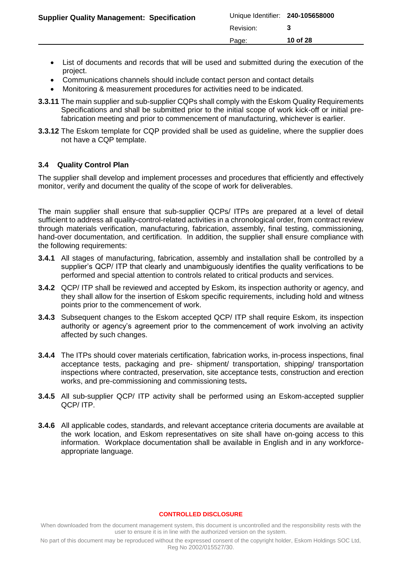- List of documents and records that will be used and submitted during the execution of the project.
- Communications channels should include contact person and contact details
- Monitoring & measurement procedures for activities need to be indicated.
- **3.3.11** The main supplier and sub-supplier CQPs shall comply with the Eskom Quality Requirements Specifications and shall be submitted prior to the initial scope of work kick-off or initial prefabrication meeting and prior to commencement of manufacturing, whichever is earlier.
- **3.3.12** The Eskom template for CQP provided shall be used as guideline, where the supplier does not have a CQP template.

### <span id="page-9-0"></span>**3.4 Quality Control Plan**

The supplier shall develop and implement processes and procedures that efficiently and effectively monitor, verify and document the quality of the scope of work for deliverables.

The main supplier shall ensure that sub-supplier QCPs/ ITPs are prepared at a level of detail sufficient to address all quality-control-related activities in a chronological order, from contract review through materials verification, manufacturing, fabrication, assembly, final testing, commissioning, hand-over documentation, and certification. In addition, the supplier shall ensure compliance with the following requirements:

- **3.4.1** All stages of manufacturing, fabrication, assembly and installation shall be controlled by a supplier's QCP/ ITP that clearly and unambiguously identifies the quality verifications to be performed and special attention to controls related to critical products and services.
- **3.4.2** QCP/ ITP shall be reviewed and accepted by Eskom, its inspection authority or agency, and they shall allow for the insertion of Eskom specific requirements, including hold and witness points prior to the commencement of work.
- **3.4.3** Subsequent changes to the Eskom accepted QCP/ ITP shall require Eskom, its inspection authority or agency's agreement prior to the commencement of work involving an activity affected by such changes.
- **3.4.4** The ITPs should cover materials certification, fabrication works, in-process inspections, final acceptance tests, packaging and pre- shipment/ transportation, shipping/ transportation inspections where contracted, preservation, site acceptance tests, construction and erection works, and pre-commissioning and commissioning tests**.**
- **3.4.5** All sub-supplier QCP/ ITP activity shall be performed using an Eskom-accepted supplier QCP/ ITP.
- **3.4.6** All applicable codes, standards, and relevant acceptance criteria documents are available at the work location, and Eskom representatives on site shall have on-going access to this information. Workplace documentation shall be available in English and in any workforceappropriate language.

#### **CONTROLLED DISCLOSURE**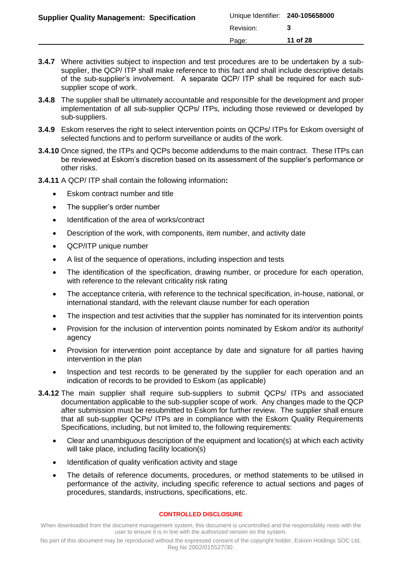| <b>Supplier Quality Management: Specification</b> | Unique Identifier: 240-105658000 |          |
|---------------------------------------------------|----------------------------------|----------|
|                                                   | Revision:                        |          |
|                                                   | Page:                            | 11 of 28 |
|                                                   |                                  |          |

- **3.4.7** Where activities subject to inspection and test procedures are to be undertaken by a subsupplier, the QCP/ ITP shall make reference to this fact and shall include descriptive details of the sub-supplier's involvement. A separate QCP/ ITP shall be required for each subsupplier scope of work.
- **3.4.8** The supplier shall be ultimately accountable and responsible for the development and proper implementation of all sub-supplier QCPs/ ITPs, including those reviewed or developed by sub-suppliers.
- **3.4.9** Eskom reserves the right to select intervention points on QCPs/ ITPs for Eskom oversight of selected functions and to perform surveillance or audits of the work.
- **3.4.10** Once signed, the ITPs and QCPs become addendums to the main contract. These ITPs can be reviewed at Eskom's discretion based on its assessment of the supplier's performance or other risks.
- **3.4.11** A QCP/ ITP shall contain the following information**:**
	- Eskom contract number and title
	- The supplier's order number
	- Identification of the area of works/contract
	- Description of the work, with components, item number, and activity date
	- QCP/ITP unique number
	- A list of the sequence of operations, including inspection and tests
	- The identification of the specification, drawing number, or procedure for each operation, with reference to the relevant criticality risk rating
	- The acceptance criteria, with reference to the technical specification, in-house, national, or international standard, with the relevant clause number for each operation
	- The inspection and test activities that the supplier has nominated for its intervention points
	- Provision for the inclusion of intervention points nominated by Eskom and/or its authority/ agency
	- Provision for intervention point acceptance by date and signature for all parties having intervention in the plan
	- Inspection and test records to be generated by the supplier for each operation and an indication of records to be provided to Eskom (as applicable)
- **3.4.12** The main supplier shall require sub-suppliers to submit QCPs/ ITPs and associated documentation applicable to the sub-supplier scope of work. Any changes made to the QCP after submission must be resubmitted to Eskom for further review. The supplier shall ensure that all sub-supplier QCPs/ ITPs are in compliance with the Eskom Quality Requirements Specifications, including, but not limited to, the following requirements:
	- Clear and unambiguous description of the equipment and location(s) at which each activity will take place, including facility location(s)
	- Identification of quality verification activity and stage
	- The details of reference documents, procedures, or method statements to be utilised in performance of the activity, including specific reference to actual sections and pages of procedures, standards, instructions, specifications, etc.

When downloaded from the document management system, this document is uncontrolled and the responsibility rests with the user to ensure it is in line with the authorized version on the system.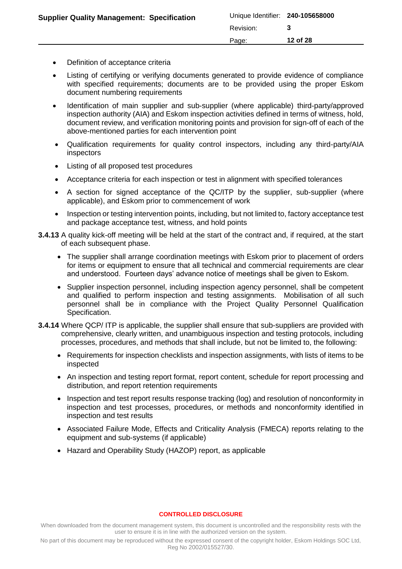- Definition of acceptance criteria
- Listing of certifying or verifying documents generated to provide evidence of compliance with specified requirements; documents are to be provided using the proper Eskom document numbering requirements
- Identification of main supplier and sub-supplier (where applicable) third-party/approved inspection authority (AIA) and Eskom inspection activities defined in terms of witness, hold, document review, and verification monitoring points and provision for sign-off of each of the above-mentioned parties for each intervention point
- Qualification requirements for quality control inspectors, including any third-party/AIA inspectors
- Listing of all proposed test procedures
- Acceptance criteria for each inspection or test in alignment with specified tolerances
- A section for signed acceptance of the QC/ITP by the supplier, sub-supplier (where applicable), and Eskom prior to commencement of work
- Inspection or testing intervention points, including, but not limited to, factory acceptance test and package acceptance test, witness, and hold points
- **3.4.13** A quality kick-off meeting will be held at the start of the contract and, if required, at the start of each subsequent phase.
	- The supplier shall arrange coordination meetings with Eskom prior to placement of orders for items or equipment to ensure that all technical and commercial requirements are clear and understood. Fourteen days' advance notice of meetings shall be given to Eskom.
	- Supplier inspection personnel, including inspection agency personnel, shall be competent and qualified to perform inspection and testing assignments. Mobilisation of all such personnel shall be in compliance with the Project Quality Personnel Qualification Specification.
- **3.4.14** Where QCP/ ITP is applicable, the supplier shall ensure that sub-suppliers are provided with comprehensive, clearly written, and unambiguous inspection and testing protocols, including processes, procedures, and methods that shall include, but not be limited to, the following:
	- Requirements for inspection checklists and inspection assignments, with lists of items to be inspected
	- An inspection and testing report format, report content, schedule for report processing and distribution, and report retention requirements
	- Inspection and test report results response tracking (log) and resolution of nonconformity in inspection and test processes, procedures, or methods and nonconformity identified in inspection and test results
	- Associated Failure Mode, Effects and Criticality Analysis (FMECA) reports relating to the equipment and sub-systems (if applicable)
	- Hazard and Operability Study (HAZOP) report, as applicable

When downloaded from the document management system, this document is uncontrolled and the responsibility rests with the user to ensure it is in line with the authorized version on the system.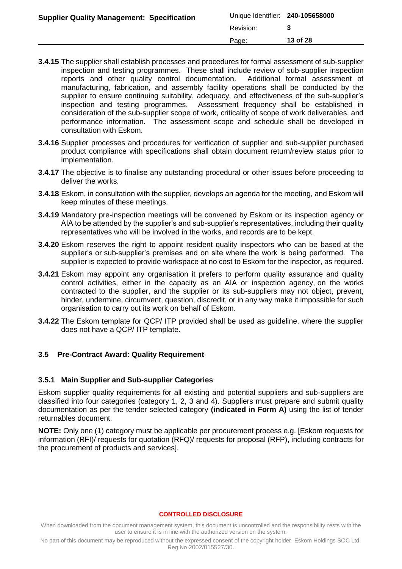| <b>Supplier Quality Management: Specification</b> | Unique Identifier: 240-105658000<br>Revision: |          |
|---------------------------------------------------|-----------------------------------------------|----------|
|                                                   | Page:                                         | 13 of 28 |

- **3.4.15** The supplier shall establish processes and procedures for formal assessment of sub-supplier inspection and testing programmes. These shall include review of sub-supplier inspection reports and other quality control documentation. Additional formal assessment of manufacturing, fabrication, and assembly facility operations shall be conducted by the supplier to ensure continuing suitability, adequacy, and effectiveness of the sub-supplier's inspection and testing programmes. Assessment frequency shall be established in consideration of the sub-supplier scope of work, criticality of scope of work deliverables, and performance information. The assessment scope and schedule shall be developed in consultation with Eskom.
- **3.4.16** Supplier processes and procedures for verification of supplier and sub-supplier purchased product compliance with specifications shall obtain document return/review status prior to implementation.
- **3.4.17** The objective is to finalise any outstanding procedural or other issues before proceeding to deliver the works.
- **3.4.18** Eskom, in consultation with the supplier, develops an agenda for the meeting, and Eskom will keep minutes of these meetings.
- **3.4.19** Mandatory pre-inspection meetings will be convened by Eskom or its inspection agency or AIA to be attended by the supplier's and sub-supplier's representatives, including their quality representatives who will be involved in the works, and records are to be kept.
- **3.4.20** Eskom reserves the right to appoint resident quality inspectors who can be based at the supplier's or sub-supplier's premises and on site where the work is being performed. The supplier is expected to provide workspace at no cost to Eskom for the inspector, as required.
- **3.4.21** Eskom may appoint any organisation it prefers to perform quality assurance and quality control activities, either in the capacity as an AIA or inspection agency, on the works contracted to the supplier, and the supplier or its sub-suppliers may not object, prevent, hinder, undermine, circumvent, question, discredit, or in any way make it impossible for such organisation to carry out its work on behalf of Eskom.
- **3.4.22** The Eskom template for QCP/ ITP provided shall be used as guideline, where the supplier does not have a QCP/ ITP template**.**

### <span id="page-12-0"></span>**3.5 Pre-Contract Award: Quality Requirement**

#### **3.5.1 Main Supplier and Sub-supplier Categories**

Eskom supplier quality requirements for all existing and potential suppliers and sub-suppliers are classified into four categories (category 1, 2, 3 and 4). Suppliers must prepare and submit quality documentation as per the tender selected category **(indicated in Form A)** using the list of tender returnables document.

**NOTE:** Only one (1) category must be applicable per procurement process e.g. [Eskom requests for information (RFI)/ requests for quotation (RFQ)/ requests for proposal (RFP), including contracts for the procurement of products and services].

#### **CONTROLLED DISCLOSURE**

When downloaded from the document management system, this document is uncontrolled and the responsibility rests with the user to ensure it is in line with the authorized version on the system.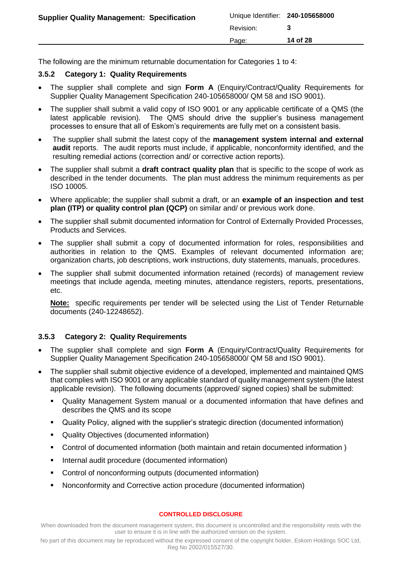|                                                   | Page:                            | 14 of 28 |
|---------------------------------------------------|----------------------------------|----------|
|                                                   | Revision:                        |          |
| <b>Supplier Quality Management: Specification</b> | Unique Identifier: 240-105658000 |          |

The following are the minimum returnable documentation for Categories 1 to 4:

## **3.5.2 Category 1: Quality Requirements**

- The supplier shall complete and sign **Form A** (Enquiry/Contract/Quality Requirements for Supplier Quality Management Specification 240-105658000/ QM 58 and ISO 9001).
- The supplier shall submit a valid copy of ISO 9001 or any applicable certificate of a QMS (the latest applicable revision). The QMS should drive the supplier's business management processes to ensure that all of Eskom's requirements are fully met on a consistent basis.
- The supplier shall submit the latest copy of the **management system internal and external audit** reports. The audit reports must include, if applicable, nonconformity identified, and the resulting remedial actions (correction and/ or corrective action reports).
- The supplier shall submit a **draft contract quality plan** that is specific to the scope of work as described in the tender documents. The plan must address the minimum requirements as per ISO 10005.
- Where applicable; the supplier shall submit a draft, or an **example of an inspection and test plan (ITP) or quality control plan (QCP)** on similar and/ or previous work done.
- The supplier shall submit documented information for Control of Externally Provided Processes, Products and Services.
- The supplier shall submit a copy of documented information for roles, responsibilities and authorities in relation to the QMS. Examples of relevant documented information are; organization charts, job descriptions, work instructions, duty statements, manuals, procedures.
- The supplier shall submit documented information retained (records) of management review meetings that include agenda, meeting minutes, attendance registers, reports, presentations, etc.

**Note:** specific requirements per tender will be selected using the List of Tender Returnable documents (240-12248652).

## **3.5.3 Category 2: Quality Requirements**

- The supplier shall complete and sign **Form A** (Enquiry/Contract/Quality Requirements for Supplier Quality Management Specification 240-105658000/ QM 58 and ISO 9001).
- The supplier shall submit objective evidence of a developed, implemented and maintained QMS that complies with ISO 9001 or any applicable standard of quality management system (the latest applicable revision). The following documents (approved/ signed copies) shall be submitted:
	- Quality Management System manual or a documented information that have defines and describes the QMS and its scope
	- Quality Policy, aligned with the supplier's strategic direction (documented information)
	- Quality Objectives (documented information)
	- Control of documented information (both maintain and retain documented information )
	- **Internal audit procedure (documented information)**
	- Control of nonconforming outputs (documented information)
	- Nonconformity and Corrective action procedure (documented information)

#### **CONTROLLED DISCLOSURE**

When downloaded from the document management system, this document is uncontrolled and the responsibility rests with the user to ensure it is in line with the authorized version on the system.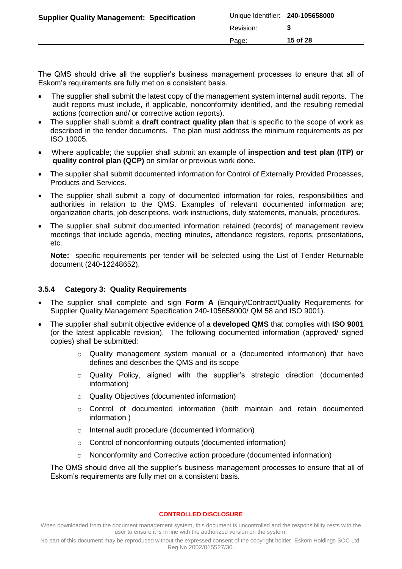| <b>Supplier Quality Management: Specification</b> | Unique Identifier: 240-105658000 |          |
|---------------------------------------------------|----------------------------------|----------|
|                                                   | Revision:                        |          |
|                                                   | Page:                            | 15 of 28 |
|                                                   |                                  |          |

The QMS should drive all the supplier's business management processes to ensure that all of Eskom's requirements are fully met on a consistent basis.

- The supplier shall submit the latest copy of the management system internal audit reports. The audit reports must include, if applicable, nonconformity identified, and the resulting remedial actions (correction and/ or corrective action reports).
- The supplier shall submit a **draft contract quality plan** that is specific to the scope of work as described in the tender documents. The plan must address the minimum requirements as per ISO 10005.
- Where applicable; the supplier shall submit an example of **inspection and test plan (ITP) or quality control plan (QCP)** on similar or previous work done.
- The supplier shall submit documented information for Control of Externally Provided Processes, Products and Services.
- The supplier shall submit a copy of documented information for roles, responsibilities and authorities in relation to the QMS. Examples of relevant documented information are; organization charts, job descriptions, work instructions, duty statements, manuals, procedures.
- The supplier shall submit documented information retained (records) of management review meetings that include agenda, meeting minutes, attendance registers, reports, presentations, etc.

**Note:** specific requirements per tender will be selected using the List of Tender Returnable document (240-12248652).

## **3.5.4 Category 3: Quality Requirements**

- The supplier shall complete and sign **Form A** (Enquiry/Contract/Quality Requirements for Supplier Quality Management Specification 240-105658000/ QM 58 and ISO 9001).
- The supplier shall submit objective evidence of a **developed QMS** that complies with **ISO 9001** (or the latest applicable revision). The following documented information (approved/ signed copies) shall be submitted:
	- o Quality management system manual or a (documented information) that have defines and describes the QMS and its scope
	- o Quality Policy, aligned with the supplier's strategic direction (documented information)
	- o Quality Objectives (documented information)
	- o Control of documented information (both maintain and retain documented information )
	- o Internal audit procedure (documented information)
	- o Control of nonconforming outputs (documented information)
	- o Nonconformity and Corrective action procedure (documented information)

The QMS should drive all the supplier's business management processes to ensure that all of Eskom's requirements are fully met on a consistent basis.

#### **CONTROLLED DISCLOSURE**

When downloaded from the document management system, this document is uncontrolled and the responsibility rests with the user to ensure it is in line with the authorized version on the system.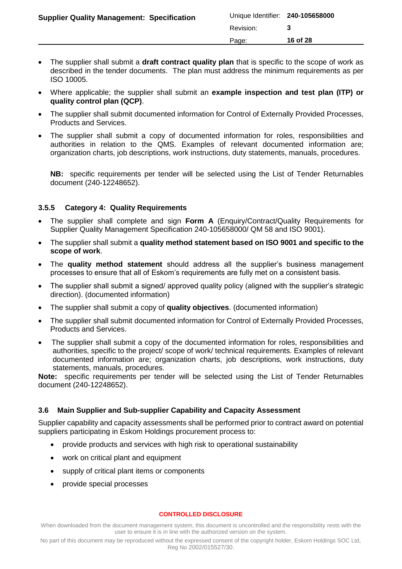| <b>Supplier Quality Management: Specification</b> | Unique Identifier: 240-105658000 |          |
|---------------------------------------------------|----------------------------------|----------|
|                                                   | Revision:                        |          |
|                                                   | Page:                            | 16 of 28 |
|                                                   |                                  |          |

- The supplier shall submit a **draft contract quality plan** that is specific to the scope of work as described in the tender documents. The plan must address the minimum requirements as per ISO 10005.
- Where applicable; the supplier shall submit an **example inspection and test plan (ITP) or quality control plan (QCP)**.
- The supplier shall submit documented information for Control of Externally Provided Processes, Products and Services.
- The supplier shall submit a copy of documented information for roles, responsibilities and authorities in relation to the QMS. Examples of relevant documented information are; organization charts, job descriptions, work instructions, duty statements, manuals, procedures.

**NB:** specific requirements per tender will be selected using the List of Tender Returnables document (240-12248652).

## **3.5.5 Category 4: Quality Requirements**

- The supplier shall complete and sign **Form A** (Enquiry/Contract/Quality Requirements for Supplier Quality Management Specification 240-105658000/ QM 58 and ISO 9001).
- The supplier shall submit a **quality method statement based on ISO 9001 and specific to the scope of work**.
- The **quality method statement** should address all the supplier's business management processes to ensure that all of Eskom's requirements are fully met on a consistent basis.
- The supplier shall submit a signed/ approved quality policy (aligned with the supplier's strategic direction). (documented information)
- The supplier shall submit a copy of **quality objectives**. (documented information)
- The supplier shall submit documented information for Control of Externally Provided Processes, Products and Services.
- The supplier shall submit a copy of the documented information for roles, responsibilities and authorities, specific to the project/ scope of work/ technical requirements. Examples of relevant documented information are; organization charts, job descriptions, work instructions, duty statements, manuals, procedures.

**Note:** specific requirements per tender will be selected using the List of Tender Returnables document (240-12248652).

## <span id="page-15-0"></span>**3.6 Main Supplier and Sub-supplier Capability and Capacity Assessment**

Supplier capability and capacity assessments shall be performed prior to contract award on potential suppliers participating in Eskom Holdings procurement process to:

- provide products and services with high risk to operational sustainability
- work on critical plant and equipment
- supply of critical plant items or components
- provide special processes

#### **CONTROLLED DISCLOSURE**

When downloaded from the document management system, this document is uncontrolled and the responsibility rests with the user to ensure it is in line with the authorized version on the system.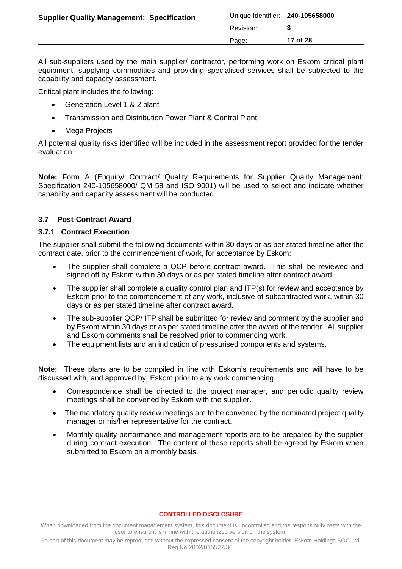|                                                   | Page:                            | 17 of 28 |
|---------------------------------------------------|----------------------------------|----------|
|                                                   | Revision:                        |          |
| <b>Supplier Quality Management: Specification</b> | Unique Identifier: 240-105658000 |          |

All sub-suppliers used by the main supplier/ contractor, performing work on Eskom critical plant equipment, supplying commodities and providing specialised services shall be subjected to the capability and capacity assessment.

Critical plant includes the following:

- Generation Level 1 & 2 plant
- Transmission and Distribution Power Plant & Control Plant
- Mega Projects

All potential quality risks identified will be included in the assessment report provided for the tender evaluation.

**Note:** Form A (Enquiry/ Contract/ Quality Requirements for Supplier Quality Management: Specification 240-105658000/ QM 58 and ISO 9001) will be used to select and indicate whether capability and capacity assessment will be conducted.

## <span id="page-16-0"></span>**3.7 Post-Contract Award**

### <span id="page-16-1"></span>**3.7.1 Contract Execution**

The supplier shall submit the following documents within 30 days or as per stated timeline after the contract date, prior to the commencement of work, for acceptance by Eskom:

- The supplier shall complete a QCP before contract award. This shall be reviewed and signed off by Eskom within 30 days or as per stated timeline after contract award.
- The supplier shall complete a quality control plan and ITP(s) for review and acceptance by Eskom prior to the commencement of any work, inclusive of subcontracted work, within 30 days or as per stated timeline after contract award.
- The sub-supplier QCP/ ITP shall be submitted for review and comment by the supplier and by Eskom within 30 days or as per stated timeline after the award of the tender. All supplier and Eskom comments shall be resolved prior to commencing work.
- The equipment lists and an indication of pressurised components and systems.

**Note:** These plans are to be compiled in line with Eskom's requirements and will have to be discussed with, and approved by, Eskom prior to any work commencing.

- Correspondence shall be directed to the project manager, and periodic quality review meetings shall be convened by Eskom with the supplier.
- The mandatory quality review meetings are to be convened by the nominated project quality manager or his/her representative for the contract.
- Monthly quality performance and management reports are to be prepared by the supplier during contract execution. The content of these reports shall be agreed by Eskom when submitted to Eskom on a monthly basis.

#### **CONTROLLED DISCLOSURE**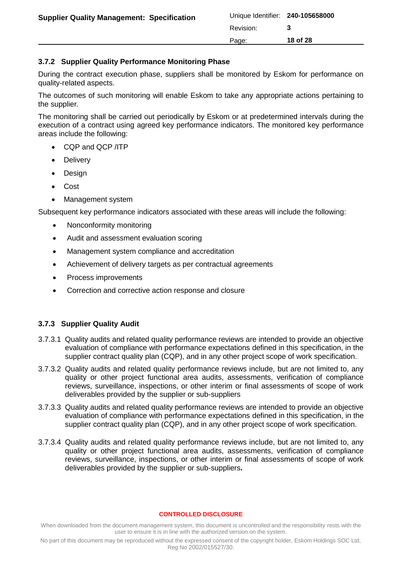| <b>Supplier Quality Management: Specification</b> | Unique Identifier: 240-105658000 |          |
|---------------------------------------------------|----------------------------------|----------|
|                                                   | Revision:                        |          |
|                                                   | Page:                            | 18 of 28 |

### <span id="page-17-0"></span>**3.7.2 Supplier Quality Performance Monitoring Phase**

During the contract execution phase, suppliers shall be monitored by Eskom for performance on quality-related aspects.

The outcomes of such monitoring will enable Eskom to take any appropriate actions pertaining to the supplier.

The monitoring shall be carried out periodically by Eskom or at predetermined intervals during the execution of a contract using agreed key performance indicators. The monitored key performance areas include the following:

- CQP and QCP /ITP
- **Delivery**
- Design
- Cost
- Management system

Subsequent key performance indicators associated with these areas will include the following:

- Nonconformity monitoring
- Audit and assessment evaluation scoring
- Management system compliance and accreditation
- Achievement of delivery targets as per contractual agreements
- Process improvements
- Correction and corrective action response and closure

### <span id="page-17-1"></span>**3.7.3 Supplier Quality Audit**

- 3.7.3.1 Quality audits and related quality performance reviews are intended to provide an objective evaluation of compliance with performance expectations defined in this specification, in the supplier contract quality plan (CQP), and in any other project scope of work specification.
- 3.7.3.2 Quality audits and related quality performance reviews include, but are not limited to, any quality or other project functional area audits, assessments, verification of compliance reviews, surveillance, inspections, or other interim or final assessments of scope of work deliverables provided by the supplier or sub-suppliers
- 3.7.3.3 Quality audits and related quality performance reviews are intended to provide an objective evaluation of compliance with performance expectations defined in this specification, in the supplier contract quality plan (CQP), and in any other project scope of work specification.
- 3.7.3.4 Quality audits and related quality performance reviews include, but are not limited to, any quality or other project functional area audits, assessments, verification of compliance reviews, surveillance, inspections, or other interim or final assessments of scope of work deliverables provided by the supplier or sub-suppliers**.**

#### **CONTROLLED DISCLOSURE**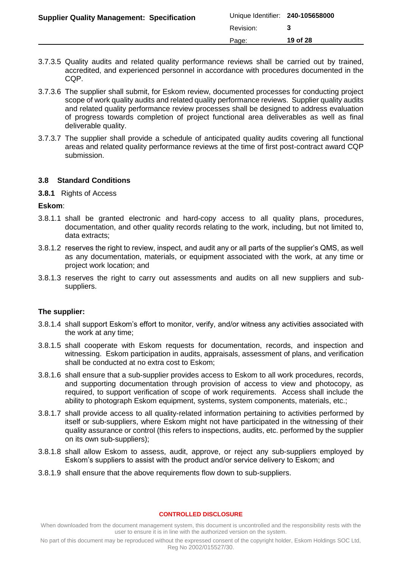| <b>Supplier Quality Management: Specification</b> | Unique Identifier: 240-105658000 |          |
|---------------------------------------------------|----------------------------------|----------|
|                                                   | Revision:                        |          |
|                                                   | Page:                            | 19 of 28 |

- 3.7.3.5 Quality audits and related quality performance reviews shall be carried out by trained, accredited, and experienced personnel in accordance with procedures documented in the CQP.
- 3.7.3.6 The supplier shall submit, for Eskom review, documented processes for conducting project scope of work quality audits and related quality performance reviews. Supplier quality audits and related quality performance review processes shall be designed to address evaluation of progress towards completion of project functional area deliverables as well as final deliverable quality.
- 3.7.3.7 The supplier shall provide a schedule of anticipated quality audits covering all functional areas and related quality performance reviews at the time of first post-contract award CQP submission.

### <span id="page-18-0"></span>**3.8 Standard Conditions**

### <span id="page-18-1"></span>**3.8.1** Rights of Access

### **Eskom**:

- 3.8.1.1 shall be granted electronic and hard-copy access to all quality plans, procedures, documentation, and other quality records relating to the work, including, but not limited to, data extracts;
- 3.8.1.2 reserves the right to review, inspect, and audit any or all parts of the supplier's QMS, as well as any documentation, materials, or equipment associated with the work, at any time or project work location; and
- 3.8.1.3 reserves the right to carry out assessments and audits on all new suppliers and subsuppliers.

### **The supplier:**

- 3.8.1.4 shall support Eskom's effort to monitor, verify, and/or witness any activities associated with the work at any time;
- 3.8.1.5 shall cooperate with Eskom requests for documentation, records, and inspection and witnessing. Eskom participation in audits, appraisals, assessment of plans, and verification shall be conducted at no extra cost to Eskom;
- 3.8.1.6 shall ensure that a sub-supplier provides access to Eskom to all work procedures, records, and supporting documentation through provision of access to view and photocopy, as required, to support verification of scope of work requirements. Access shall include the ability to photograph Eskom equipment, systems, system components, materials, etc.;
- 3.8.1.7 shall provide access to all quality-related information pertaining to activities performed by itself or sub-suppliers, where Eskom might not have participated in the witnessing of their quality assurance or control (this refers to inspections, audits, etc. performed by the supplier on its own sub-suppliers);
- 3.8.1.8 shall allow Eskom to assess, audit, approve, or reject any sub-suppliers employed by Eskom's suppliers to assist with the product and/or service delivery to Eskom; and
- 3.8.1.9 shall ensure that the above requirements flow down to sub-suppliers.

#### **CONTROLLED DISCLOSURE**

When downloaded from the document management system, this document is uncontrolled and the responsibility rests with the user to ensure it is in line with the authorized version on the system.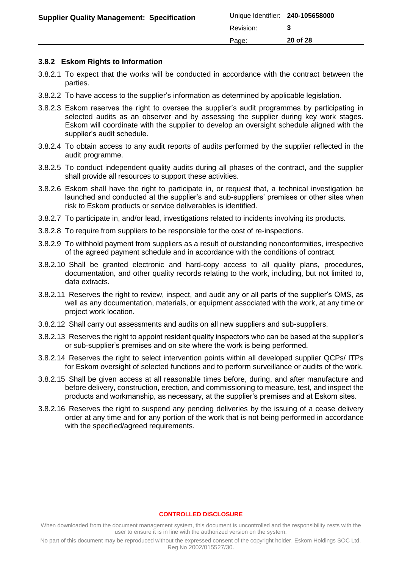|                                                   | Page:                            | 20 of 28 |
|---------------------------------------------------|----------------------------------|----------|
|                                                   | Revision:                        |          |
| <b>Supplier Quality Management: Specification</b> | Unique Identifier: 240-105658000 |          |

### <span id="page-19-0"></span>**3.8.2 Eskom Rights to Information**

- 3.8.2.1 To expect that the works will be conducted in accordance with the contract between the parties.
- 3.8.2.2 To have access to the supplier's information as determined by applicable legislation.
- 3.8.2.3 Eskom reserves the right to oversee the supplier's audit programmes by participating in selected audits as an observer and by assessing the supplier during key work stages. Eskom will coordinate with the supplier to develop an oversight schedule aligned with the supplier's audit schedule.
- 3.8.2.4 To obtain access to any audit reports of audits performed by the supplier reflected in the audit programme.
- 3.8.2.5 To conduct independent quality audits during all phases of the contract, and the supplier shall provide all resources to support these activities.
- 3.8.2.6 Eskom shall have the right to participate in, or request that, a technical investigation be launched and conducted at the supplier's and sub-suppliers' premises or other sites when risk to Eskom products or service deliverables is identified.
- 3.8.2.7 To participate in, and/or lead, investigations related to incidents involving its products.
- 3.8.2.8 To require from suppliers to be responsible for the cost of re-inspections.
- 3.8.2.9 To withhold payment from suppliers as a result of outstanding nonconformities, irrespective of the agreed payment schedule and in accordance with the conditions of contract.
- 3.8.2.10 Shall be granted electronic and hard-copy access to all quality plans, procedures, documentation, and other quality records relating to the work, including, but not limited to, data extracts.
- 3.8.2.11 Reserves the right to review, inspect, and audit any or all parts of the supplier's QMS, as well as any documentation, materials, or equipment associated with the work, at any time or project work location.
- 3.8.2.12 Shall carry out assessments and audits on all new suppliers and sub-suppliers.
- 3.8.2.13 Reserves the right to appoint resident quality inspectors who can be based at the supplier's or sub-supplier's premises and on site where the work is being performed.
- 3.8.2.14 Reserves the right to select intervention points within all developed supplier QCPs/ ITPs for Eskom oversight of selected functions and to perform surveillance or audits of the work.
- 3.8.2.15 Shall be given access at all reasonable times before, during, and after manufacture and before delivery, construction, erection, and commissioning to measure, test, and inspect the products and workmanship, as necessary, at the supplier's premises and at Eskom sites.
- 3.8.2.16 Reserves the right to suspend any pending deliveries by the issuing of a cease delivery order at any time and for any portion of the work that is not being performed in accordance with the specified/agreed requirements.

#### **CONTROLLED DISCLOSURE**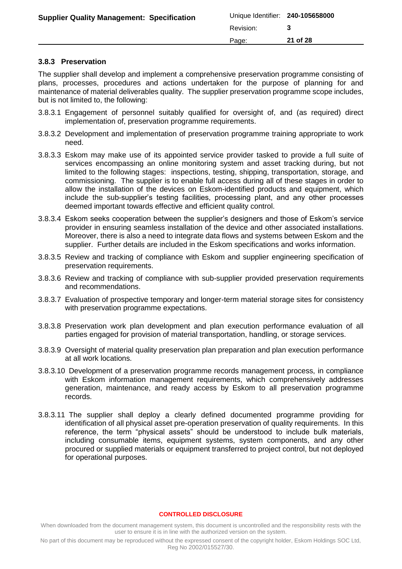| <b>Supplier Quality Management: Specification</b> | Unique Identifier: 240-105658000 |          |
|---------------------------------------------------|----------------------------------|----------|
|                                                   | Revision:                        |          |
|                                                   | Page:                            | 21 of 28 |

### <span id="page-20-0"></span>**3.8.3 Preservation**

The supplier shall develop and implement a comprehensive preservation programme consisting of plans, processes, procedures and actions undertaken for the purpose of planning for and maintenance of material deliverables quality. The supplier preservation programme scope includes, but is not limited to, the following:

- 3.8.3.1 Engagement of personnel suitably qualified for oversight of, and (as required) direct implementation of, preservation programme requirements.
- 3.8.3.2 Development and implementation of preservation programme training appropriate to work need.
- 3.8.3.3 Eskom may make use of its appointed service provider tasked to provide a full suite of services encompassing an online monitoring system and asset tracking during, but not limited to the following stages: inspections, testing, shipping, transportation, storage, and commissioning. The supplier is to enable full access during all of these stages in order to allow the installation of the devices on Eskom-identified products and equipment, which include the sub-supplier's testing facilities, processing plant, and any other processes deemed important towards effective and efficient quality control.
- 3.8.3.4 Eskom seeks cooperation between the supplier's designers and those of Eskom's service provider in ensuring seamless installation of the device and other associated installations. Moreover, there is also a need to integrate data flows and systems between Eskom and the supplier. Further details are included in the Eskom specifications and works information.
- 3.8.3.5 Review and tracking of compliance with Eskom and supplier engineering specification of preservation requirements.
- 3.8.3.6 Review and tracking of compliance with sub-supplier provided preservation requirements and recommendations.
- 3.8.3.7 Evaluation of prospective temporary and longer-term material storage sites for consistency with preservation programme expectations.
- 3.8.3.8 Preservation work plan development and plan execution performance evaluation of all parties engaged for provision of material transportation, handling, or storage services.
- 3.8.3.9 Oversight of material quality preservation plan preparation and plan execution performance at all work locations.
- 3.8.3.10 Development of a preservation programme records management process, in compliance with Eskom information management requirements, which comprehensively addresses generation, maintenance, and ready access by Eskom to all preservation programme records.
- 3.8.3.11 The supplier shall deploy a clearly defined documented programme providing for identification of all physical asset pre-operation preservation of quality requirements. In this reference, the term "physical assets" should be understood to include bulk materials, including consumable items, equipment systems, system components, and any other procured or supplied materials or equipment transferred to project control, but not deployed for operational purposes.

#### **CONTROLLED DISCLOSURE**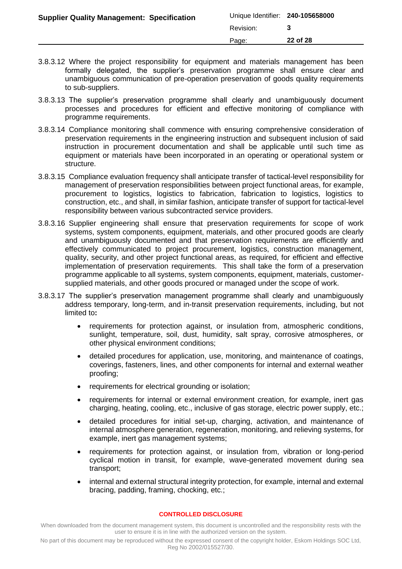| <b>Supplier Quality Management: Specification</b> | Unique Identifier: 240-105658000 |          |
|---------------------------------------------------|----------------------------------|----------|
|                                                   | Revision:                        |          |
|                                                   | Page:                            | 22 of 28 |
|                                                   |                                  |          |

- 3.8.3.12 Where the project responsibility for equipment and materials management has been formally delegated, the supplier's preservation programme shall ensure clear and unambiguous communication of pre-operation preservation of goods quality requirements to sub-suppliers.
- 3.8.3.13 The supplier's preservation programme shall clearly and unambiguously document processes and procedures for efficient and effective monitoring of compliance with programme requirements.
- 3.8.3.14 Compliance monitoring shall commence with ensuring comprehensive consideration of preservation requirements in the engineering instruction and subsequent inclusion of said instruction in procurement documentation and shall be applicable until such time as equipment or materials have been incorporated in an operating or operational system or structure.
- 3.8.3.15 Compliance evaluation frequency shall anticipate transfer of tactical-level responsibility for management of preservation responsibilities between project functional areas, for example, procurement to logistics, logistics to fabrication, fabrication to logistics, logistics to construction, etc., and shall, in similar fashion, anticipate transfer of support for tactical-level responsibility between various subcontracted service providers.
- 3.8.3.16 Supplier engineering shall ensure that preservation requirements for scope of work systems, system components, equipment, materials, and other procured goods are clearly and unambiguously documented and that preservation requirements are efficiently and effectively communicated to project procurement, logistics, construction management, quality, security, and other project functional areas, as required, for efficient and effective implementation of preservation requirements. This shall take the form of a preservation programme applicable to all systems, system components, equipment, materials, customersupplied materials, and other goods procured or managed under the scope of work.
- 3.8.3.17 The supplier's preservation management programme shall clearly and unambiguously address temporary, long-term, and in-transit preservation requirements, including, but not limited to**:**
	- requirements for protection against, or insulation from, atmospheric conditions, sunlight, temperature, soil, dust, humidity, salt spray, corrosive atmospheres, or other physical environment conditions;
	- detailed procedures for application, use, monitoring, and maintenance of coatings, coverings, fasteners, lines, and other components for internal and external weather proofing;
	- requirements for electrical grounding or isolation;
	- requirements for internal or external environment creation, for example, inert gas charging, heating, cooling, etc., inclusive of gas storage, electric power supply, etc.;
	- detailed procedures for initial set-up, charging, activation, and maintenance of internal atmosphere generation, regeneration, monitoring, and relieving systems, for example, inert gas management systems;
	- requirements for protection against, or insulation from, vibration or long-period cyclical motion in transit, for example, wave-generated movement during sea transport;
	- internal and external structural integrity protection, for example, internal and external bracing, padding, framing, chocking, etc.;

When downloaded from the document management system, this document is uncontrolled and the responsibility rests with the user to ensure it is in line with the authorized version on the system.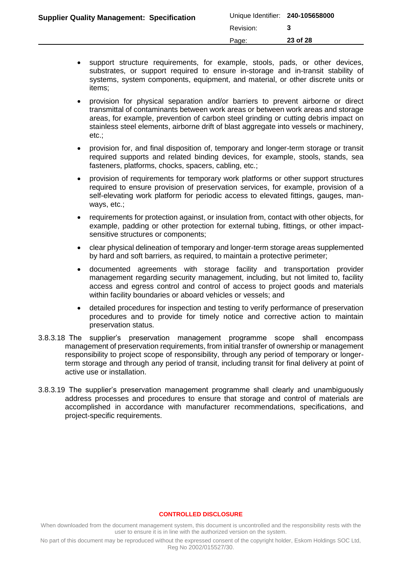| <b>Supplier Quality Management: Specification</b> | Unique Identifier: 240-105658000 |          |
|---------------------------------------------------|----------------------------------|----------|
|                                                   | Revision:                        |          |
|                                                   | Page:                            | 23 of 28 |

- support structure requirements, for example, stools, pads, or other devices, substrates, or support required to ensure in-storage and in-transit stability of systems, system components, equipment, and material, or other discrete units or items;
- provision for physical separation and/or barriers to prevent airborne or direct transmittal of contaminants between work areas or between work areas and storage areas, for example, prevention of carbon steel grinding or cutting debris impact on stainless steel elements, airborne drift of blast aggregate into vessels or machinery, etc.;
- provision for, and final disposition of, temporary and longer-term storage or transit required supports and related binding devices, for example, stools, stands, sea fasteners, platforms, chocks, spacers, cabling, etc.;
- provision of requirements for temporary work platforms or other support structures required to ensure provision of preservation services, for example, provision of a self-elevating work platform for periodic access to elevated fittings, gauges, manways, etc.;
- requirements for protection against, or insulation from, contact with other objects, for example, padding or other protection for external tubing, fittings, or other impactsensitive structures or components;
- clear physical delineation of temporary and longer-term storage areas supplemented by hard and soft barriers, as required, to maintain a protective perimeter;
- documented agreements with storage facility and transportation provider management regarding security management, including, but not limited to, facility access and egress control and control of access to project goods and materials within facility boundaries or aboard vehicles or vessels; and
- detailed procedures for inspection and testing to verify performance of preservation procedures and to provide for timely notice and corrective action to maintain preservation status.
- 3.8.3.18 The supplier's preservation management programme scope shall encompass management of preservation requirements, from initial transfer of ownership or management responsibility to project scope of responsibility, through any period of temporary or longerterm storage and through any period of transit, including transit for final delivery at point of active use or installation.
- 3.8.3.19 The supplier's preservation management programme shall clearly and unambiguously address processes and procedures to ensure that storage and control of materials are accomplished in accordance with manufacturer recommendations, specifications, and project-specific requirements.

When downloaded from the document management system, this document is uncontrolled and the responsibility rests with the user to ensure it is in line with the authorized version on the system.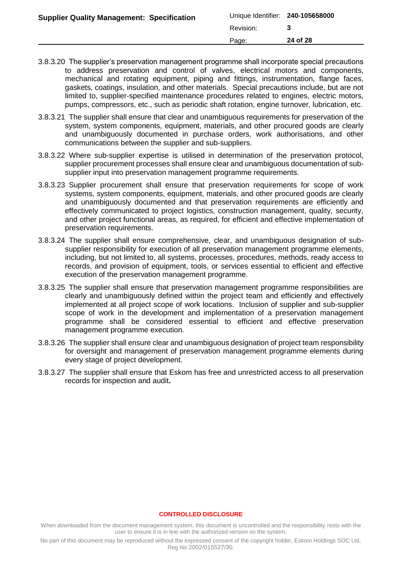| <b>Supplier Quality Management: Specification</b> | Unique Identifier: 240-105658000 |          |
|---------------------------------------------------|----------------------------------|----------|
|                                                   | Revision:                        |          |
|                                                   | Page:                            | 24 of 28 |
|                                                   |                                  |          |

- 3.8.3.20 The supplier's preservation management programme shall incorporate special precautions to address preservation and control of valves, electrical motors and components, mechanical and rotating equipment, piping and fittings, instrumentation, flange faces, gaskets, coatings, insulation, and other materials. Special precautions include, but are not limited to, supplier-specified maintenance procedures related to engines, electric motors, pumps, compressors, etc., such as periodic shaft rotation, engine turnover, lubrication, etc.
- 3.8.3.21 The supplier shall ensure that clear and unambiguous requirements for preservation of the system, system components, equipment, materials, and other procured goods are clearly and unambiguously documented in purchase orders, work authorisations, and other communications between the supplier and sub-suppliers.
- 3.8.3.22 Where sub-supplier expertise is utilised in determination of the preservation protocol, supplier procurement processes shall ensure clear and unambiguous documentation of subsupplier input into preservation management programme requirements.
- 3.8.3.23 Supplier procurement shall ensure that preservation requirements for scope of work systems, system components, equipment, materials, and other procured goods are clearly and unambiguously documented and that preservation requirements are efficiently and effectively communicated to project logistics, construction management, quality, security, and other project functional areas, as required, for efficient and effective implementation of preservation requirements.
- 3.8.3.24 The supplier shall ensure comprehensive, clear, and unambiguous designation of subsupplier responsibility for execution of all preservation management programme elements, including, but not limited to, all systems, processes, procedures, methods, ready access to records, and provision of equipment, tools, or services essential to efficient and effective execution of the preservation management programme.
- 3.8.3.25 The supplier shall ensure that preservation management programme responsibilities are clearly and unambiguously defined within the project team and efficiently and effectively implemented at all project scope of work locations. Inclusion of supplier and sub-supplier scope of work in the development and implementation of a preservation management programme shall be considered essential to efficient and effective preservation management programme execution.
- 3.8.3.26 The supplier shall ensure clear and unambiguous designation of project team responsibility for oversight and management of preservation management programme elements during every stage of project development.
- 3.8.3.27 The supplier shall ensure that Eskom has free and unrestricted access to all preservation records for inspection and audit**.**

When downloaded from the document management system, this document is uncontrolled and the responsibility rests with the user to ensure it is in line with the authorized version on the system.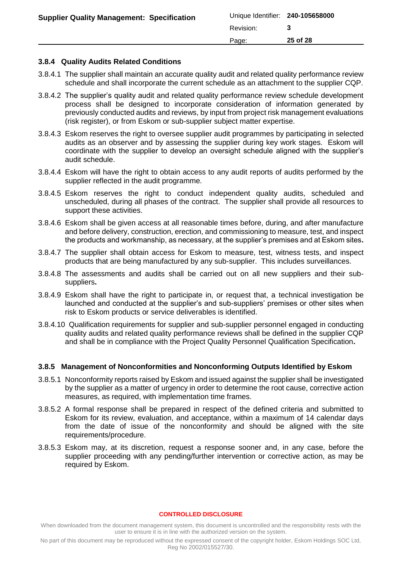|                                                   | Page:                            | 25 of 28 |
|---------------------------------------------------|----------------------------------|----------|
|                                                   | Revision:                        |          |
| <b>Supplier Quality Management: Specification</b> | Unique Identifier: 240-105658000 |          |

### <span id="page-24-0"></span>**3.8.4 Quality Audits Related Conditions**

- 3.8.4.1 The supplier shall maintain an accurate quality audit and related quality performance review schedule and shall incorporate the current schedule as an attachment to the supplier CQP.
- 3.8.4.2 The supplier's quality audit and related quality performance review schedule development process shall be designed to incorporate consideration of information generated by previously conducted audits and reviews, by input from project risk management evaluations (risk register), or from Eskom or sub-supplier subject matter expertise.
- 3.8.4.3 Eskom reserves the right to oversee supplier audit programmes by participating in selected audits as an observer and by assessing the supplier during key work stages. Eskom will coordinate with the supplier to develop an oversight schedule aligned with the supplier's audit schedule.
- 3.8.4.4 Eskom will have the right to obtain access to any audit reports of audits performed by the supplier reflected in the audit programme.
- 3.8.4.5 Eskom reserves the right to conduct independent quality audits, scheduled and unscheduled, during all phases of the contract. The supplier shall provide all resources to support these activities.
- 3.8.4.6 Eskom shall be given access at all reasonable times before, during, and after manufacture and before delivery, construction, erection, and commissioning to measure, test, and inspect the products and workmanship, as necessary, at the supplier's premises and at Eskom sites**.**
- 3.8.4.7 The supplier shall obtain access for Eskom to measure, test, witness tests, and inspect products that are being manufactured by any sub-supplier. This includes surveillances.
- 3.8.4.8 The assessments and audits shall be carried out on all new suppliers and their subsuppliers**.**
- 3.8.4.9 Eskom shall have the right to participate in, or request that, a technical investigation be launched and conducted at the supplier's and sub-suppliers' premises or other sites when risk to Eskom products or service deliverables is identified.
- 3.8.4.10 Qualification requirements for supplier and sub-supplier personnel engaged in conducting quality audits and related quality performance reviews shall be defined in the supplier CQP and shall be in compliance with the Project Quality Personnel Qualification Specification**.**

### <span id="page-24-1"></span>**3.8.5 Management of Nonconformities and Nonconforming Outputs Identified by Eskom**

- 3.8.5.1 Nonconformity reports raised by Eskom and issued against the supplier shall be investigated by the supplier as a matter of urgency in order to determine the root cause, corrective action measures, as required, with implementation time frames.
- 3.8.5.2 A formal response shall be prepared in respect of the defined criteria and submitted to Eskom for its review, evaluation, and acceptance, within a maximum of 14 calendar days from the date of issue of the nonconformity and should be aligned with the site requirements/procedure.
- 3.8.5.3 Eskom may, at its discretion, request a response sooner and, in any case, before the supplier proceeding with any pending/further intervention or corrective action, as may be required by Eskom.

#### **CONTROLLED DISCLOSURE**

When downloaded from the document management system, this document is uncontrolled and the responsibility rests with the user to ensure it is in line with the authorized version on the system.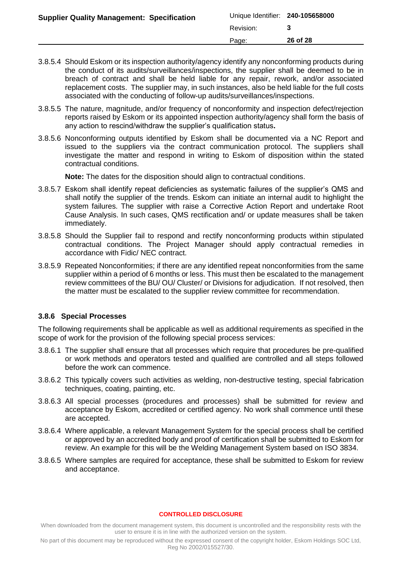| Unique Identifier: 240-105658000<br><b>Supplier Quality Management: Specification</b> |  |
|---------------------------------------------------------------------------------------|--|
| Revision:                                                                             |  |
| 26 of 28<br>Page:                                                                     |  |

- 3.8.5.4 Should Eskom or its inspection authority/agency identify any nonconforming products during the conduct of its audits/surveillances/inspections, the supplier shall be deemed to be in breach of contract and shall be held liable for any repair, rework, and/or associated replacement costs. The supplier may, in such instances, also be held liable for the full costs associated with the conducting of follow-up audits/surveillances/inspections.
- 3.8.5.5 The nature, magnitude, and/or frequency of nonconformity and inspection defect/rejection reports raised by Eskom or its appointed inspection authority/agency shall form the basis of any action to rescind/withdraw the supplier's qualification status**.**
- 3.8.5.6 Nonconforming outputs identified by Eskom shall be documented via a NC Report and issued to the suppliers via the contract communication protocol. The suppliers shall investigate the matter and respond in writing to Eskom of disposition within the stated contractual conditions.

**Note:** The dates for the disposition should align to contractual conditions.

- 3.8.5.7 Eskom shall identify repeat deficiencies as systematic failures of the supplier's QMS and shall notify the supplier of the trends. Eskom can initiate an internal audit to highlight the system failures. The supplier with raise a Corrective Action Report and undertake Root Cause Analysis. In such cases, QMS rectification and/ or update measures shall be taken immediately.
- 3.8.5.8 Should the Supplier fail to respond and rectify nonconforming products within stipulated contractual conditions. The Project Manager should apply contractual remedies in accordance with Fidic/ NEC contract.
- 3.8.5.9 Repeated Nonconformities; if there are any identified repeat nonconformities from the same supplier within a period of 6 months or less. This must then be escalated to the management review committees of the BU/ OU/ Cluster/ or Divisions for adjudication. If not resolved, then the matter must be escalated to the supplier review committee for recommendation.

## <span id="page-25-0"></span>**3.8.6 Special Processes**

The following requirements shall be applicable as well as additional requirements as specified in the scope of work for the provision of the following special process services:

- 3.8.6.1 The supplier shall ensure that all processes which require that procedures be pre-qualified or work methods and operators tested and qualified are controlled and all steps followed before the work can commence.
- 3.8.6.2 This typically covers such activities as welding, non-destructive testing, special fabrication techniques, coating, painting, etc.
- 3.8.6.3 All special processes (procedures and processes) shall be submitted for review and acceptance by Eskom, accredited or certified agency. No work shall commence until these are accepted.
- 3.8.6.4 Where applicable, a relevant Management System for the special process shall be certified or approved by an accredited body and proof of certification shall be submitted to Eskom for review. An example for this will be the Welding Management System based on ISO 3834.
- 3.8.6.5 Where samples are required for acceptance, these shall be submitted to Eskom for review and acceptance.

#### **CONTROLLED DISCLOSURE**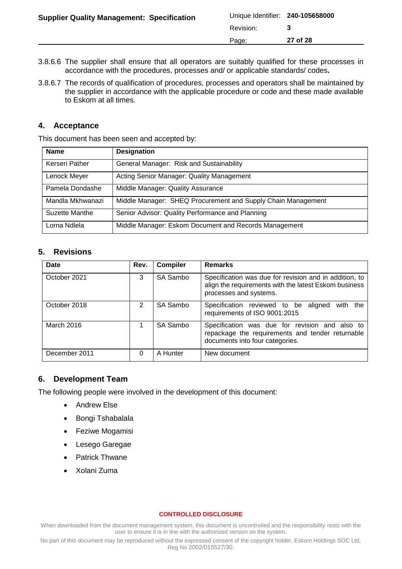| Unique Identifier: 240-105658000<br><b>Supplier Quality Management: Specification</b> |  |
|---------------------------------------------------------------------------------------|--|
| Revision:                                                                             |  |
| 27 of 28<br>Page:                                                                     |  |

- 3.8.6.6 The supplier shall ensure that all operators are suitably qualified for these processes in accordance with the procedures, processes and/ or applicable standards/ codes**.**
- 3.8.6.7 The records of qualification of procedures, processes and operators shall be maintained by the supplier in accordance with the applicable procedure or code and these made available to Eskom at all times.

## <span id="page-26-0"></span>**4. Acceptance**

This document has been seen and accepted by:

| <b>Name</b>      | <b>Designation</b>                                           |
|------------------|--------------------------------------------------------------|
| Kerseri Pather   | General Manager: Risk and Sustainability                     |
| Lenock Meyer     | Acting Senior Manager: Quality Management                    |
| Pamela Dondashe  | Middle Manager: Quality Assurance                            |
| Mandla Mkhwanazi | Middle Manager: SHEQ Procurement and Supply Chain Management |
| Suzette Manthe   | Senior Advisor: Quality Performance and Planning             |
| Lorna Ndlela     | Middle Manager: Eskom Document and Records Management        |

## <span id="page-26-1"></span>**5. Revisions**

| <b>Date</b>   | Rev. | <b>Compiler</b> | <b>Remarks</b>                                                                                                                            |  |
|---------------|------|-----------------|-------------------------------------------------------------------------------------------------------------------------------------------|--|
| October 2021  |      | SA Sambo        | Specification was due for revision and in addition, to<br>align the requirements with the latest Eskom business<br>processes and systems. |  |
| October 2018  | 2    | SA Sambo        | Specification reviewed to be aligned<br>the<br>with<br>requirements of ISO 9001:2015                                                      |  |
| March 2016    |      | SA Sambo        | Specification was due for revision and also to<br>repackage the requirements and tender returnable<br>documents into four categories.     |  |
| December 2011 | 0    | A Hunter        | New document                                                                                                                              |  |

## <span id="page-26-2"></span>**6. Development Team**

The following people were involved in the development of this document:

- Andrew Else
- Bongi Tshabalala
- Feziwe Mogamisi
- Lesego Garegae
- Patrick Thwane
- Xolani Zuma

#### **CONTROLLED DISCLOSURE**

When downloaded from the document management system, this document is uncontrolled and the responsibility rests with the user to ensure it is in line with the authorized version on the system.